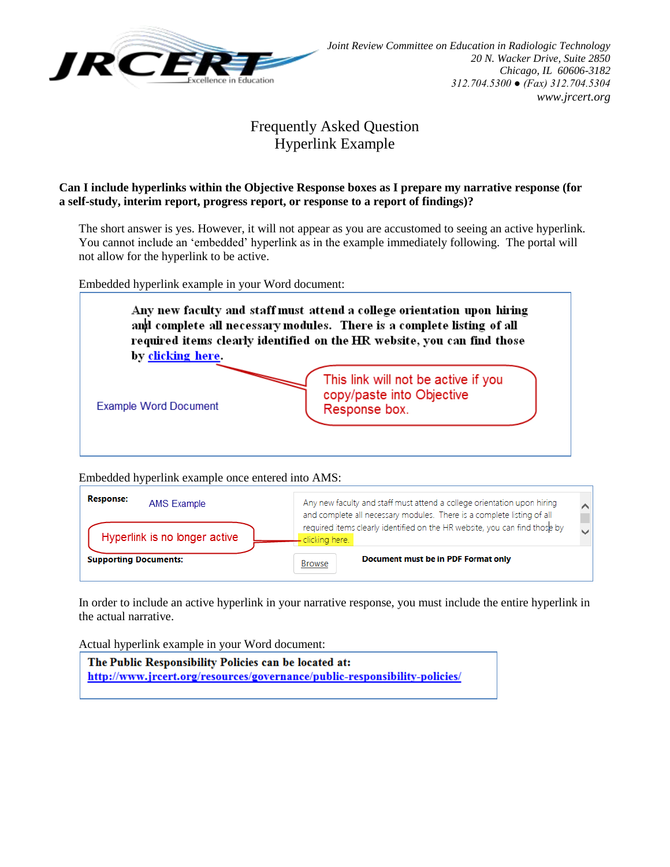

## Frequently Asked Question Hyperlink Example

## **Can I include hyperlinks within the Objective Response boxes as I prepare my narrative response (for a self-study, interim report, progress report, or response to a report of findings)?**

The short answer is yes. However, it will not appear as you are accustomed to seeing an active hyperlink. You cannot include an 'embedded' hyperlink as in the example immediately following. The portal will not allow for the hyperlink to be active.

Embedded hyperlink example in your Word document:



Embedded hyperlink example once entered into AMS:



In order to include an active hyperlink in your narrative response, you must include the entire hyperlink in the actual narrative.

Actual hyperlink example in your Word document:

The Public Responsibility Policies can be located at: http://www.jrcert.org/resources/governance/public-responsibility-policies/